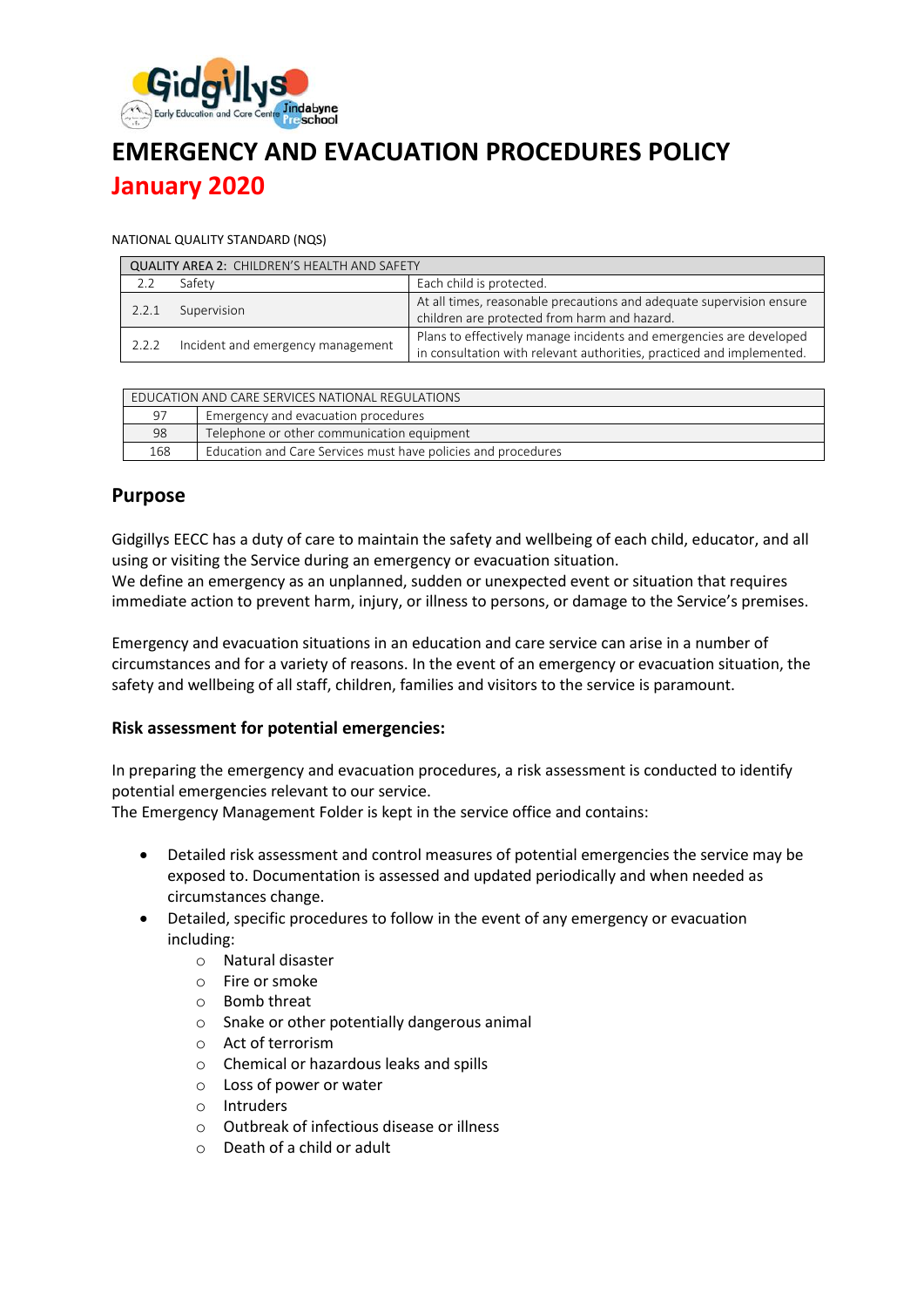

# **EMERGENCY AND EVACUATION PROCEDURES POLICY January 2020**

#### NATIONAL QUALITY STANDARD (NQS)

| <b>QUALITY AREA 2: CHILDREN'S HEALTH AND SAFETY</b> |                                   |                                                                                                                                              |  |
|-----------------------------------------------------|-----------------------------------|----------------------------------------------------------------------------------------------------------------------------------------------|--|
|                                                     | Safety                            | Each child is protected.                                                                                                                     |  |
| 2.2.1                                               | Supervision                       | At all times, reasonable precautions and adequate supervision ensure<br>children are protected from harm and hazard.                         |  |
| 2.2.2                                               | Incident and emergency management | Plans to effectively manage incidents and emergencies are developed<br>in consultation with relevant authorities, practiced and implemented. |  |

| EDUCATION AND CARE SERVICES NATIONAL REGULATIONS |                                                               |  |
|--------------------------------------------------|---------------------------------------------------------------|--|
| 97                                               | Emergency and evacuation procedures                           |  |
| 98                                               | Telephone or other communication equipment                    |  |
| 168                                              | Education and Care Services must have policies and procedures |  |

### **Purpose**

Gidgillys EECC has a duty of care to maintain the safety and wellbeing of each child, educator, and all using or visiting the Service during an emergency or evacuation situation.

We define an emergency as an unplanned, sudden or unexpected event or situation that requires immediate action to prevent harm, injury, or illness to persons, or damage to the Service's premises.

Emergency and evacuation situations in an education and care service can arise in a number of circumstances and for a variety of reasons. In the event of an emergency or evacuation situation, the safety and wellbeing of all staff, children, families and visitors to the service is paramount.

#### **Risk assessment for potential emergencies:**

In preparing the emergency and evacuation procedures, a risk assessment is conducted to identify potential emergencies relevant to our service.

The Emergency Management Folder is kept in the service office and contains:

- Detailed risk assessment and control measures of potential emergencies the service may be exposed to. Documentation is assessed and updated periodically and when needed as circumstances change.
- Detailed, specific procedures to follow in the event of any emergency or evacuation including:
	- o Natural disaster
	- o Fire or smoke
	- o Bomb threat
	- o Snake or other potentially dangerous animal
	- o Act of terrorism
	- o Chemical or hazardous leaks and spills
	- o Loss of power or water
	- o Intruders
	- o Outbreak of infectious disease or illness
	- o Death of a child or adult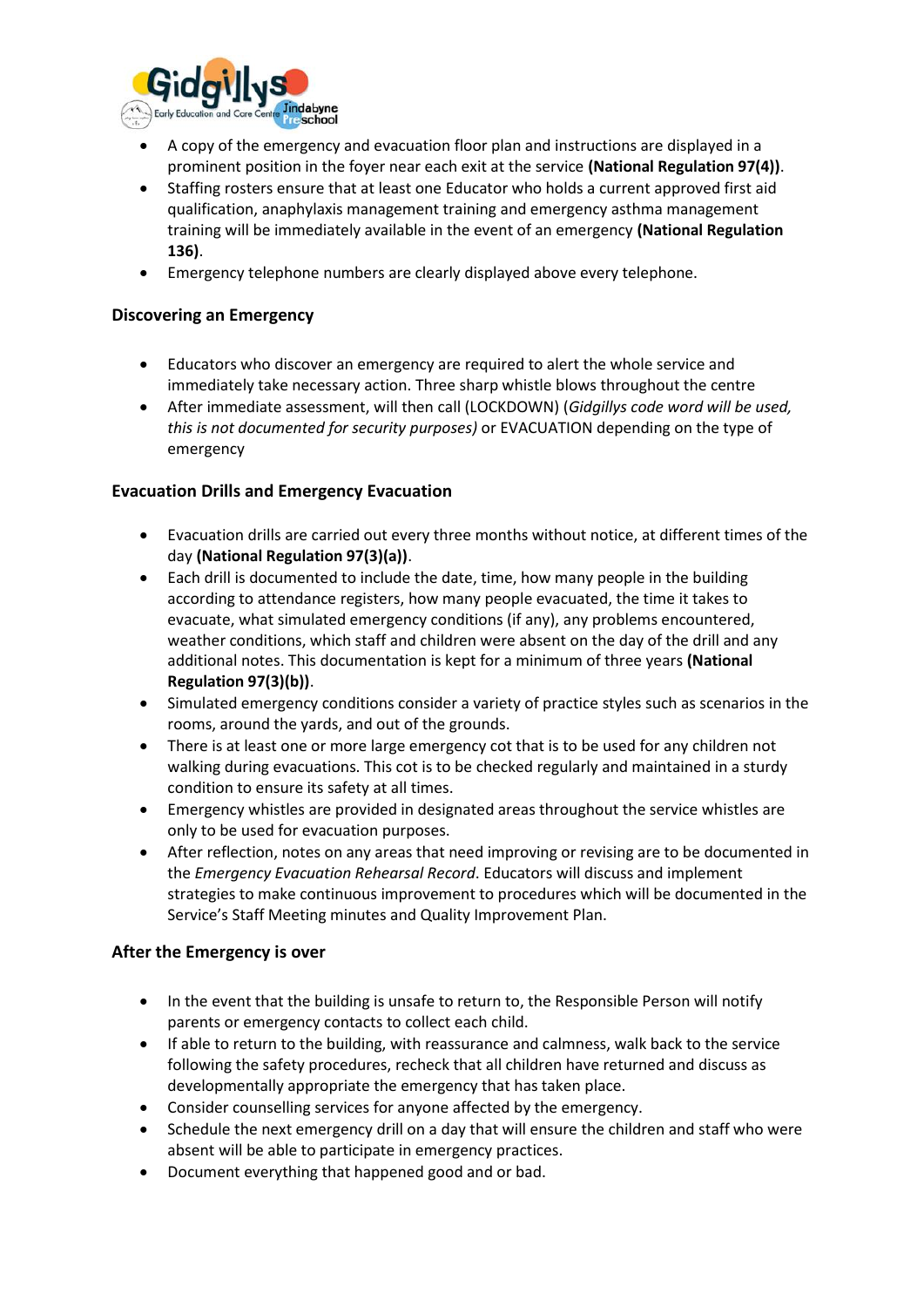

- A copy of the emergency and evacuation floor plan and instructions are displayed in a prominent position in the foyer near each exit at the service **(National Regulation 97(4))**.
- Staffing rosters ensure that at least one Educator who holds a current approved first aid qualification, anaphylaxis management training and emergency asthma management training will be immediately available in the event of an emergency **(National Regulation 136)**.
- Emergency telephone numbers are clearly displayed above every telephone.

#### **Discovering an Emergency**

- Educators who discover an emergency are required to alert the whole service and immediately take necessary action. Three sharp whistle blows throughout the centre
- After immediate assessment, will then call (LOCKDOWN) (*Gidgillys code word will be used, this is not documented for security purposes)* or EVACUATION depending on the type of emergency

#### **Evacuation Drills and Emergency Evacuation**

- Evacuation drills are carried out every three months without notice, at different times of the day **(National Regulation 97(3)(a))**.
- Each drill is documented to include the date, time, how many people in the building according to attendance registers, how many people evacuated, the time it takes to evacuate, what simulated emergency conditions (if any), any problems encountered, weather conditions, which staff and children were absent on the day of the drill and any additional notes. This documentation is kept for a minimum of three years **(National Regulation 97(3)(b))**.
- Simulated emergency conditions consider a variety of practice styles such as scenarios in the rooms, around the yards, and out of the grounds.
- There is at least one or more large emergency cot that is to be used for any children not walking during evacuations. This cot is to be checked regularly and maintained in a sturdy condition to ensure its safety at all times.
- Emergency whistles are provided in designated areas throughout the service whistles are only to be used for evacuation purposes.
- After reflection, notes on any areas that need improving or revising are to be documented in the *Emergency Evacuation Rehearsal Record*. Educators will discuss and implement strategies to make continuous improvement to procedures which will be documented in the Service's Staff Meeting minutes and Quality Improvement Plan.

#### **After the Emergency is over**

- In the event that the building is unsafe to return to, the Responsible Person will notify parents or emergency contacts to collect each child.
- If able to return to the building, with reassurance and calmness, walk back to the service following the safety procedures, recheck that all children have returned and discuss as developmentally appropriate the emergency that has taken place.
- Consider counselling services for anyone affected by the emergency.
- Schedule the next emergency drill on a day that will ensure the children and staff who were absent will be able to participate in emergency practices.
- Document everything that happened good and or bad.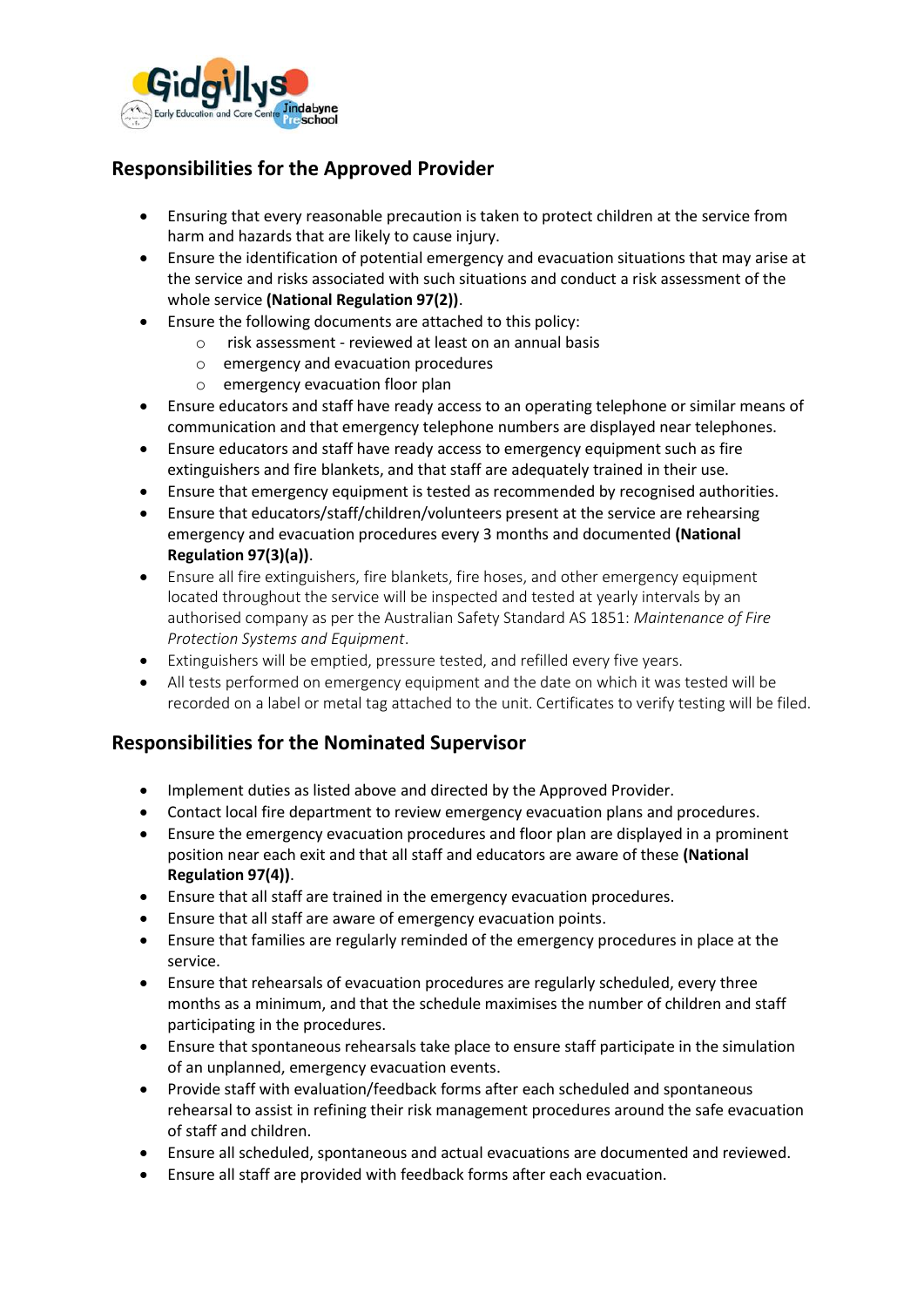

# **Responsibilities for the Approved Provider**

- Ensuring that every reasonable precaution is taken to protect children at the service from harm and hazards that are likely to cause injury.
- Ensure the identification of potential emergency and evacuation situations that may arise at the service and risks associated with such situations and conduct a risk assessment of the whole service **(National Regulation 97(2))**.
- Ensure the following documents are attached to this policy:
	- o risk assessment reviewed at least on an annual basis
	- o emergency and evacuation procedures
	- o emergency evacuation floor plan
- Ensure educators and staff have ready access to an operating telephone or similar means of communication and that emergency telephone numbers are displayed near telephones.
- Ensure educators and staff have ready access to emergency equipment such as fire extinguishers and fire blankets, and that staff are adequately trained in their use.
- Ensure that emergency equipment is tested as recommended by recognised authorities.
- Ensure that educators/staff/children/volunteers present at the service are rehearsing emergency and evacuation procedures every 3 months and documented **(National Regulation 97(3)(a))**.
- Ensure all fire extinguishers, fire blankets, fire hoses, and other emergency equipment located throughout the service will be inspected and tested at yearly intervals by an authorised company as per the Australian Safety Standard AS 1851: *Maintenance of Fire Protection Systems and Equipment*.
- Extinguishers will be emptied, pressure tested, and refilled every five years.
- All tests performed on emergency equipment and the date on which it was tested will be recorded on a label or metal tag attached to the unit. Certificates to verify testing will be filed.

# **Responsibilities for the Nominated Supervisor**

- Implement duties as listed above and directed by the Approved Provider.
- Contact local fire department to review emergency evacuation plans and procedures.
- Ensure the emergency evacuation procedures and floor plan are displayed in a prominent position near each exit and that all staff and educators are aware of these **(National Regulation 97(4))**.
- Ensure that all staff are trained in the emergency evacuation procedures.
- Ensure that all staff are aware of emergency evacuation points.
- Ensure that families are regularly reminded of the emergency procedures in place at the service.
- Ensure that rehearsals of evacuation procedures are regularly scheduled, every three months as a minimum, and that the schedule maximises the number of children and staff participating in the procedures.
- Ensure that spontaneous rehearsals take place to ensure staff participate in the simulation of an unplanned, emergency evacuation events.
- Provide staff with evaluation/feedback forms after each scheduled and spontaneous rehearsal to assist in refining their risk management procedures around the safe evacuation of staff and children.
- Ensure all scheduled, spontaneous and actual evacuations are documented and reviewed.
- Ensure all staff are provided with feedback forms after each evacuation.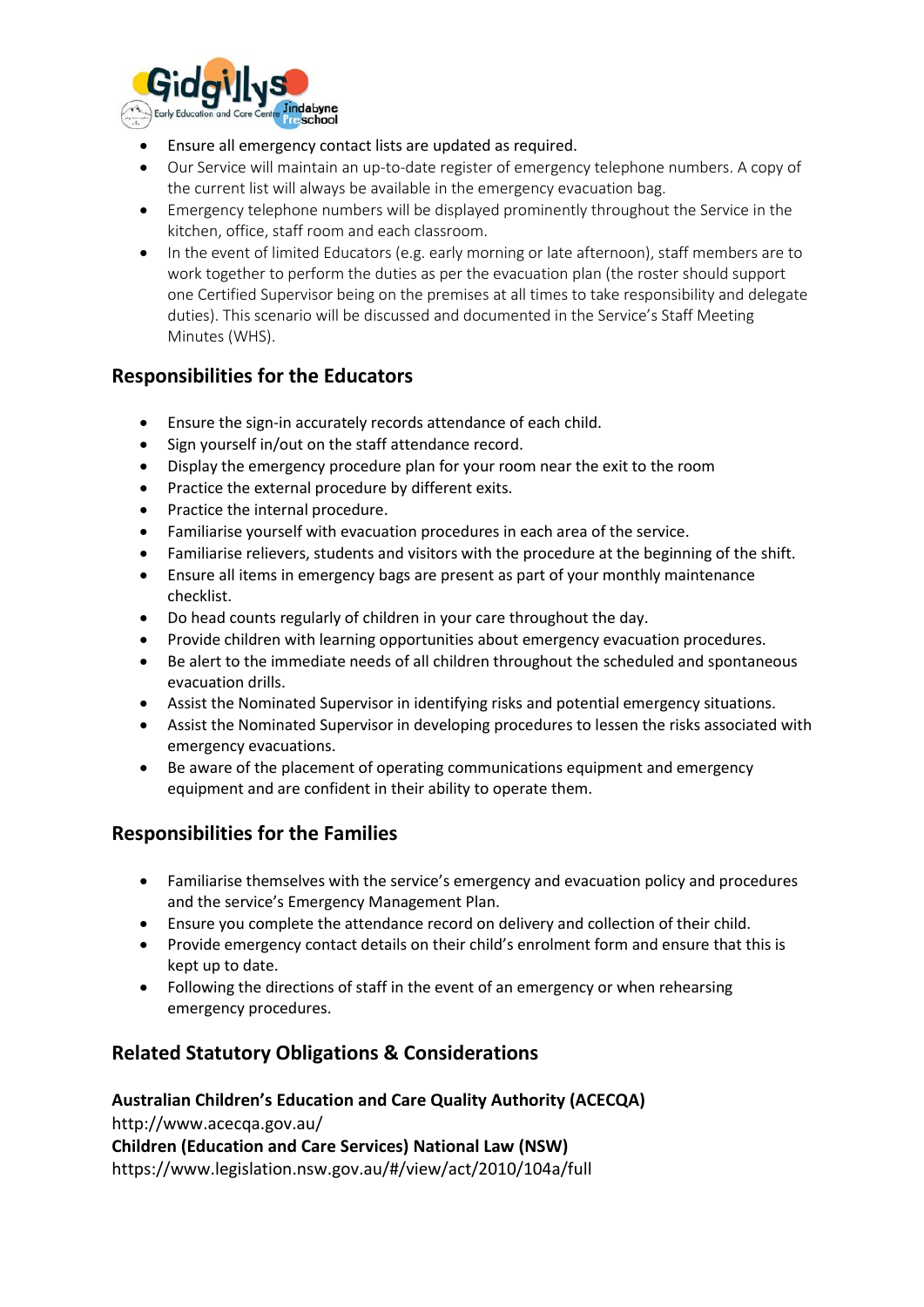

- Ensure all emergency contact lists are updated as required.
- Our Service will maintain an up-to-date register of emergency telephone numbers. A copy of the current list will always be available in the emergency evacuation bag.
- Emergency telephone numbers will be displayed prominently throughout the Service in the kitchen, office, staff room and each classroom.
- In the event of limited Educators (e.g. early morning or late afternoon), staff members are to work together to perform the duties as per the evacuation plan (the roster should support one Certified Supervisor being on the premises at all times to take responsibility and delegate duties). This scenario will be discussed and documented in the Service's Staff Meeting Minutes (WHS).

# **Responsibilities for the Educators**

- Ensure the sign-in accurately records attendance of each child.
- Sign yourself in/out on the staff attendance record.
- Display the emergency procedure plan for your room near the exit to the room
- Practice the external procedure by different exits.
- Practice the internal procedure.
- Familiarise yourself with evacuation procedures in each area of the service.
- Familiarise relievers, students and visitors with the procedure at the beginning of the shift.
- Ensure all items in emergency bags are present as part of your monthly maintenance checklist.
- Do head counts regularly of children in your care throughout the day.
- Provide children with learning opportunities about emergency evacuation procedures.
- Be alert to the immediate needs of all children throughout the scheduled and spontaneous evacuation drills.
- Assist the Nominated Supervisor in identifying risks and potential emergency situations.
- Assist the Nominated Supervisor in developing procedures to lessen the risks associated with emergency evacuations.
- Be aware of the placement of operating communications equipment and emergency equipment and are confident in their ability to operate them.

# **Responsibilities for the Families**

- Familiarise themselves with the service's emergency and evacuation policy and procedures and the service's Emergency Management Plan.
- Ensure you complete the attendance record on delivery and collection of their child.
- Provide emergency contact details on their child's enrolment form and ensure that this is kept up to date.
- Following the directions of staff in the event of an emergency or when rehearsing emergency procedures.

# **Related Statutory Obligations & Considerations**

# **Australian Children's Education and Care Quality Authority (ACECQA)** http://www.acecqa.gov.au/ **Children (Education and Care Services) National Law (NSW)** https://www.legislation.nsw.gov.au/#/view/act/2010/104a/full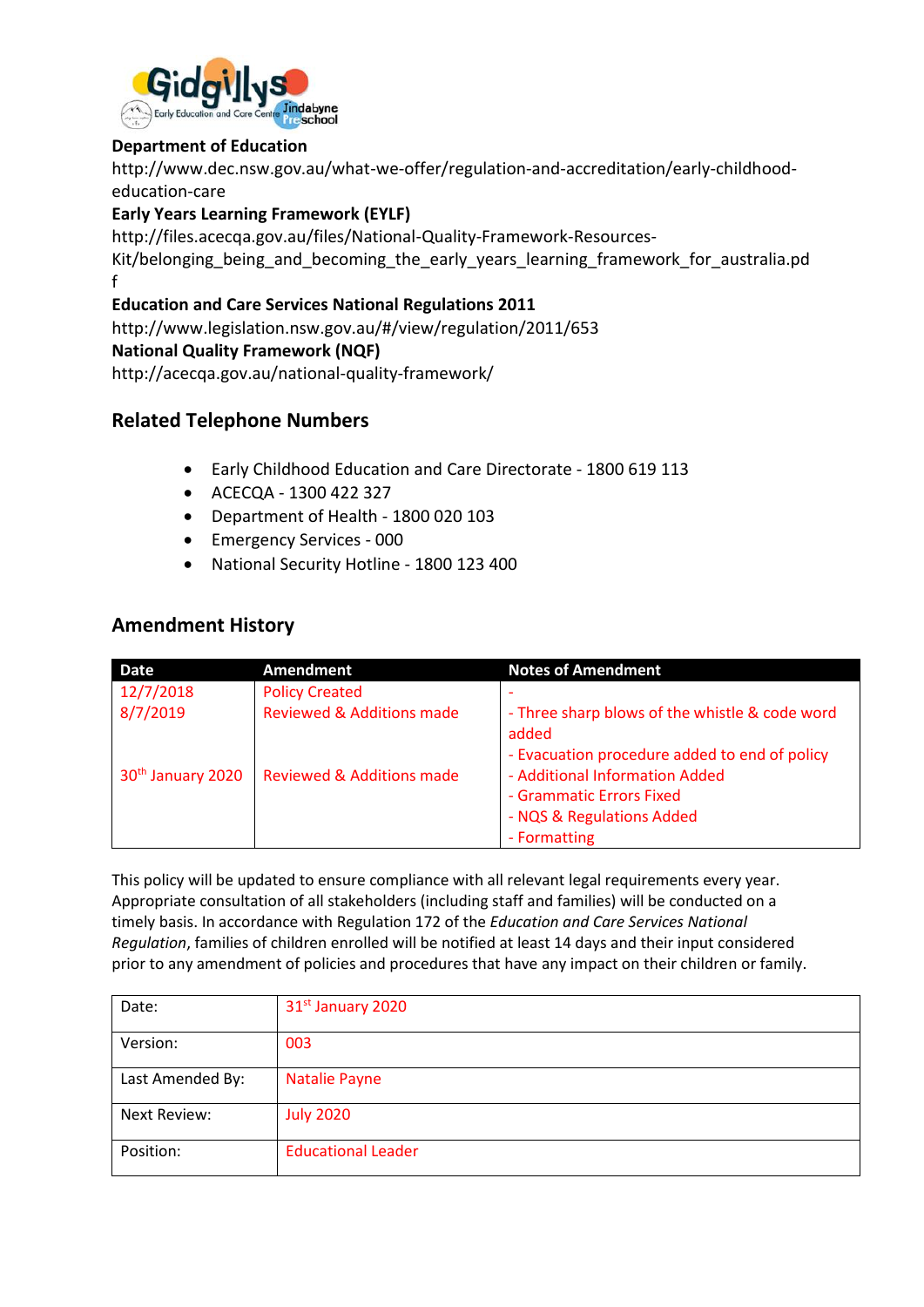

### **Department of Education**

http://www.dec.nsw.gov.au/what-we-offer/regulation-and-accreditation/early-childhoodeducation-care

### **Early Years Learning Framework (EYLF)**

http://files.acecqa.gov.au/files/National-Quality-Framework-Resources-

Kit/belonging being and becoming the early years learning framework for australia.pd f

### **Education and Care Services National Regulations 2011**

http://www.legislation.nsw.gov.au/#/view/regulation/2011/653

#### **National Quality Framework (NQF)**

http://acecqa.gov.au/national-quality-framework/

# **Related Telephone Numbers**

- Early Childhood Education and Care Directorate 1800 619 113
- ACECQA 1300 422 327
- Department of Health 1800 020 103
- Emergency Services 000
- National Security Hotline 1800 123 400

# **Amendment History**

| <b>Date</b>                   | Amendment                            | <b>Notes of Amendment</b>                               |
|-------------------------------|--------------------------------------|---------------------------------------------------------|
| 12/7/2018                     | <b>Policy Created</b>                |                                                         |
| 8/7/2019                      | <b>Reviewed &amp; Additions made</b> | - Three sharp blows of the whistle & code word<br>added |
|                               |                                      | - Evacuation procedure added to end of policy           |
| 30 <sup>th</sup> January 2020 | <b>Reviewed &amp; Additions made</b> | - Additional Information Added                          |
|                               |                                      | - Grammatic Errors Fixed                                |
|                               |                                      | - NQS & Regulations Added                               |
|                               |                                      | - Formatting                                            |

This policy will be updated to ensure compliance with all relevant legal requirements every year. Appropriate consultation of all stakeholders (including staff and families) will be conducted on a timely basis. In accordance with Regulation 172 of the *Education and Care Services National Regulation*, families of children enrolled will be notified at least 14 days and their input considered prior to any amendment of policies and procedures that have any impact on their children or family.

| Date:               | 31st January 2020         |
|---------------------|---------------------------|
| Version:            | 003                       |
| Last Amended By:    | <b>Natalie Payne</b>      |
| <b>Next Review:</b> | <b>July 2020</b>          |
| Position:           | <b>Educational Leader</b> |